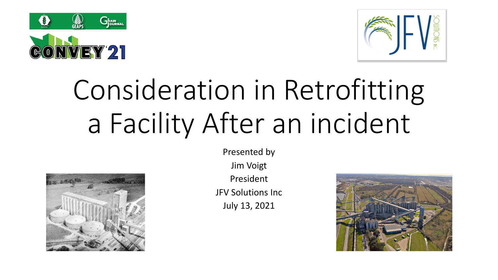



# Consideration in Retrofitting a Facility After an incident



Presented by Jim Voigt President JFV Solutions Inc July 13, 2021

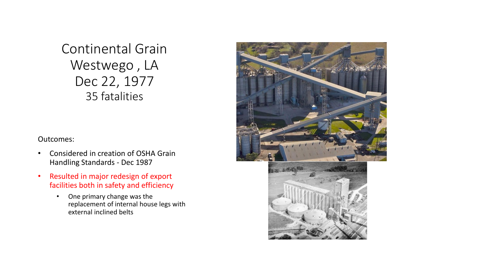Continental Grain Westwego , LA Dec 22, 1977 35 fatalities

Outcomes:

- Considered in creation of OSHA Grain Handling Standards - Dec 1987
- Resulted in major redesign of export facilities both in safety and efficiency
	- One primary change was the replacement of internal house legs with external inclined belts



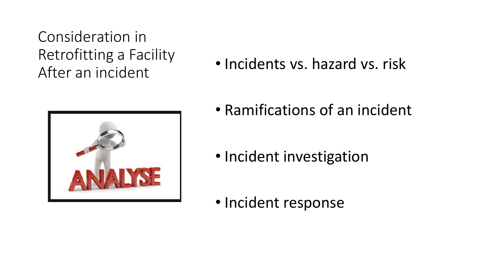Consideration in Retrofitting a Facility After an incident



• Incidents vs. hazard vs. risk

• Ramifications of an incident

• Incident investigation

• Incident response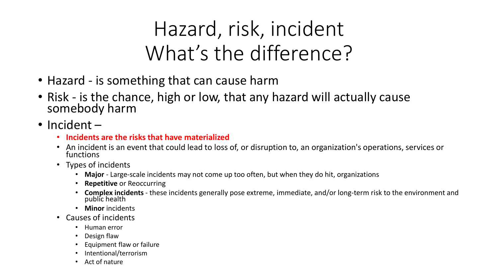## Hazard, risk, incident What's the difference?

- Hazard is something that can cause harm
- Risk is the chance, high or low, that any hazard will actually cause somebody harm
- Incident
	- **Incidents are the risks that have materialized**
	- An incident is an event that could lead to loss of, or disruption to, an organization's operations, services or functions
	- Types of incidents
		- **Major** Large-scale incidents may not come up too often, but when they do hit, organizations
		- **Repetitive** or Reoccurring
		- **Complex incidents**  these incidents generally pose extreme, immediate, and/or long-term risk to the environment and public health
		- **Minor** incidents
	- Causes of incidents
		- Human error
		- Design flaw
		- Equipment flaw or failure
		- Intentional/terrorism
		- Act of nature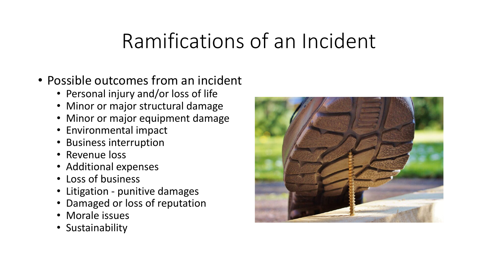#### Ramifications of an Incident

- Possible outcomes from an incident
	- Personal injury and/or loss of life
	- Minor or major structural damage
	- Minor or major equipment damage
	- Environmental impact
	- Business interruption
	- Revenue loss
	- Additional expenses
	- Loss of business
	- Litigation punitive damages
	- Damaged or loss of reputation
	- Morale issues
	- Sustainability

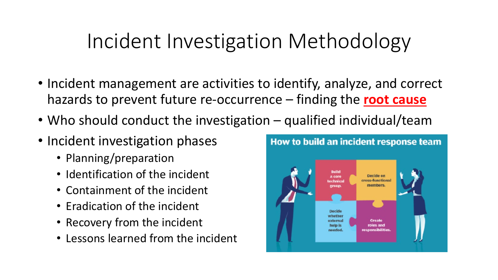#### Incident Investigation Methodology

- Incident management are activities to identify, analyze, and correct hazards to prevent future re-occurrence – finding the **root cause**
- Who should conduct the investigation qualified individual/team
- Incident investigation phases
	- Planning/preparation
	- Identification of the incident
	- Containment of the incident
	- Eradication of the incident
	- Recovery from the incident
	- Lessons learned from the incident



How to build an incident response team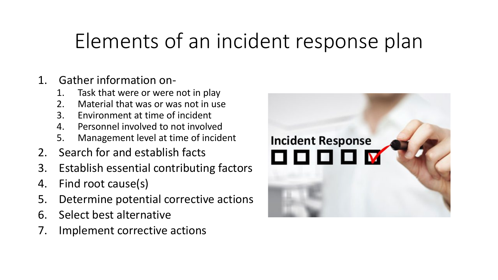### Elements of an incident response plan

- 1. Gather information on-
	- 1. Task that were or were not in play
	- 2. Material that was or was not in use
	- 3. Environment at time of incident
	- 4. Personnel involved to not involved
	- 5. Management level at time of incident
- 2. Search for and establish facts
- 3. Establish essential contributing factors
- 4. Find root cause(s)
- 5. Determine potential corrective actions
- 6. Select best alternative
- 7. Implement corrective actions

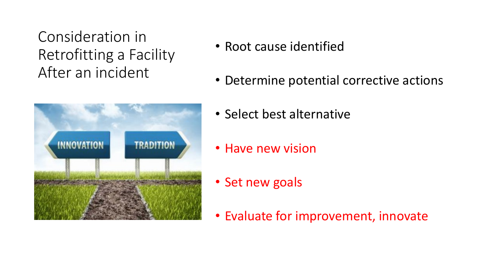Consideration in Retrofitting a Facility After an incident



- Root cause identified
- Determine potential corrective actions
- Select best alternative
- Have new vision
- Set new goals
- Evaluate for improvement, innovate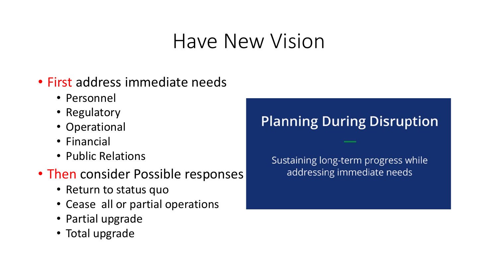#### Have New Vision

- First address immediate needs
	- Personnel
	- Regulatory
	- Operational
	- Financial
	- Public Relations
- Then consider Possible responses
	- Return to status quo
	- Cease all or partial operations
	- Partial upgrade
	- Total upgrade

#### **Planning During Disruption**

Sustaining long-term progress while addressing immediate needs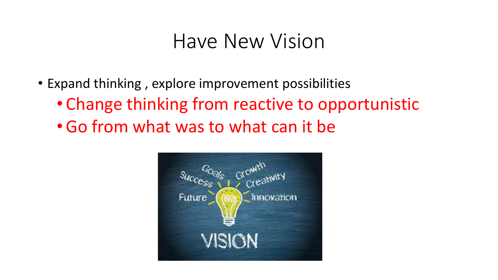#### Have New Vision

- Expand thinking , explore improvement possibilities
	- Change thinking from reactive to opportunistic
	- •Go from what was to what can it be

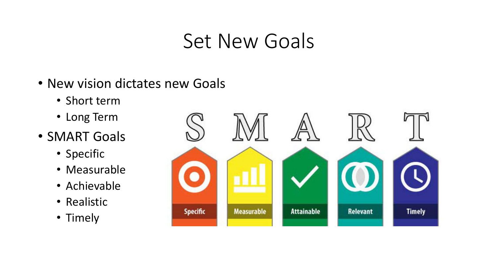#### Set New Goals

- New vision dictates new Goals
	- Short term
	- Long Term
- SMART Goals
	- Specific
	- Measurable
	- Achievable
	- Realistic
	- Timely

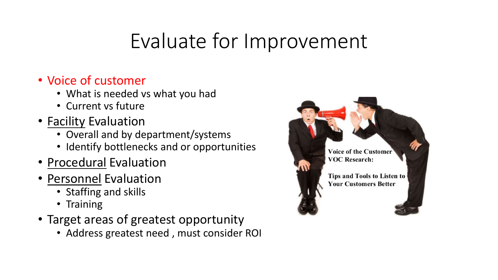### Evaluate for Improvement

- Voice of customer
	- What is needed vs what you had
	- Current vs future
- Facility Evaluation
	- Overall and by department/systems
	- Identify bottlenecks and or opportunities
- Procedural Evaluation
- Personnel Evaluation
	- Staffing and skills
	- Training
- Target areas of greatest opportunity
	- Address greatest need , must consider ROI

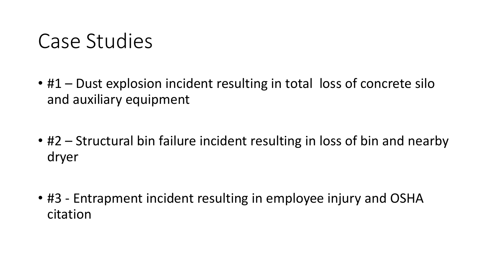#### Case Studies

- #1 Dust explosion incident resulting in total loss of concrete silo and auxiliary equipment
- #2 Structural bin failure incident resulting in loss of bin and nearby dryer
- #3 Entrapment incident resulting in employee injury and OSHA citation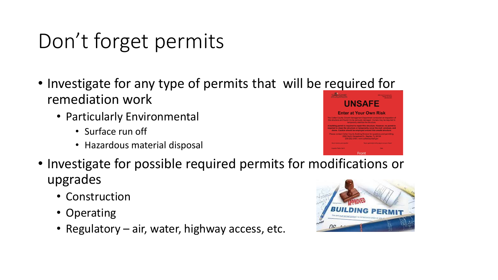## Don't forget permits

- Investigate for any type of permits that will be required for remediation work ISAFF
	- Particularly Environmental
		- Surface run off
		- Hazardous material disposal
- Investigate for possible required permits for modifications or upgrades
	- Construction
	- Operating
	- Regulatory air, water, highway access, etc.



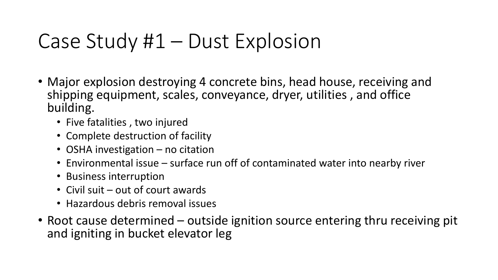#### Case Study #1 – Dust Explosion

- Major explosion destroying 4 concrete bins, head house, receiving and shipping equipment, scales, conveyance, dryer, utilities , and office building.
	- Five fatalities , two injured
	- Complete destruction of facility
	- OSHA investigation no citation
	- Environmental issue surface run off of contaminated water into nearby river
	- Business interruption
	- Civil suit out of court awards
	- Hazardous debris removal issues
- Root cause determined outside ignition source entering thru receiving pit and igniting in bucket elevator leg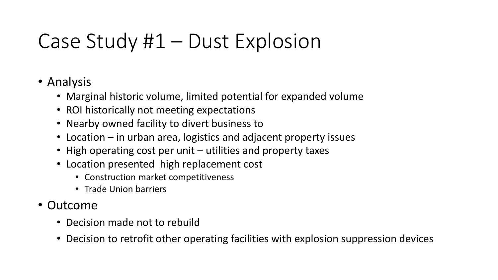## Case Study #1 – Dust Explosion

- Analysis
	- Marginal historic volume, limited potential for expanded volume
	- ROI historically not meeting expectations
	- Nearby owned facility to divert business to
	- Location in urban area, logistics and adjacent property issues
	- High operating cost per unit utilities and property taxes
	- Location presented high replacement cost
		- Construction market competitiveness
		- Trade Union barriers
- Outcome
	- Decision made not to rebuild
	- Decision to retrofit other operating facilities with explosion suppression devices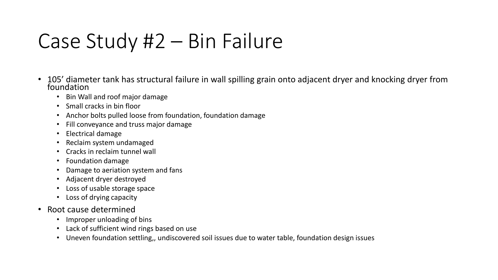### Case Study #2 – Bin Failure

- 105' diameter tank has structural failure in wall spilling grain onto adjacent dryer and knocking dryer from foundation
	- Bin Wall and roof major damage
	- Small cracks in bin floor
	- Anchor bolts pulled loose from foundation, foundation damage
	- Fill conveyance and truss major damage
	- Electrical damage
	- Reclaim system undamaged
	- Cracks in reclaim tunnel wall
	- Foundation damage
	- Damage to aeriation system and fans
	- Adjacent dryer destroyed
	- Loss of usable storage space
	- Loss of drying capacity
- Root cause determined
	- Improper unloading of bins
	- Lack of sufficient wind rings based on use
	- Uneven foundation settling,, undiscovered soil issues due to water table, foundation design issues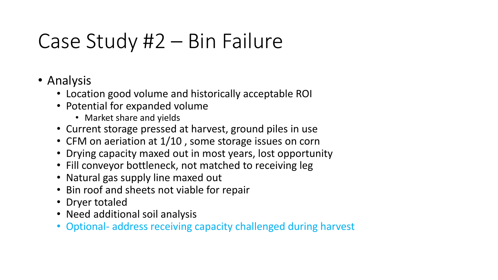## Case Study #2 – Bin Failure

- Analysis
	- Location good volume and historically acceptable ROI
	- Potential for expanded volume
		- Market share and yields
	- Current storage pressed at harvest, ground piles in use
	- CFM on aeriation at 1/10 , some storage issues on corn
	- Drying capacity maxed out in most years, lost opportunity
	- Fill conveyor bottleneck, not matched to receiving leg
	- Natural gas supply line maxed out
	- Bin roof and sheets not viable for repair
	- Dryer totaled
	- Need additional soil analysis
	- Optional- address receiving capacity challenged during harvest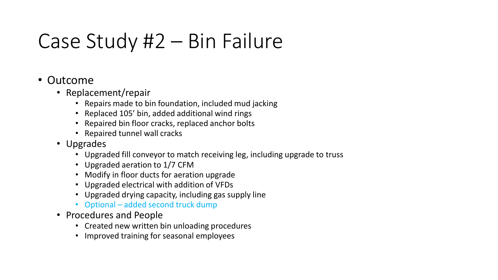### Case Study #2 – Bin Failure

#### • Outcome

- Replacement/repair
	- Repairs made to bin foundation, included mud jacking
	- Replaced 105' bin, added additional wind rings
	- Repaired bin floor cracks, replaced anchor bolts
	- Repaired tunnel wall cracks
- Upgrades
	- Upgraded fill conveyor to match receiving leg, including upgrade to truss
	- Upgraded aeration to 1/7 CFM
	- Modify in floor ducts for aeration upgrade
	- Upgraded electrical with addition of VFDs
	- Upgraded drying capacity, including gas supply line
	- Optional added second truck dump
- Procedures and People
	- Created new written bin unloading procedures
	- Improved training for seasonal employees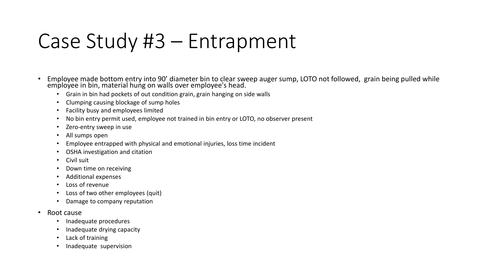### Case Study #3 – Entrapment

- Employee made bottom entry into 90' diameter bin to clear sweep auger sump, LOTO not followed, grain being pulled while employee in bin, material hung on walls over employee's head.
	- Grain in bin had pockets of out condition grain, grain hanging on side walls
	- Clumping causing blockage of sump holes
	- Facility busy and employees limited
	- No bin entry permit used, employee not trained in bin entry or LOTO, no observer present
	- Zero-entry sweep in use
	- All sumps open
	- Employee entrapped with physical and emotional injuries, loss time incident
	- OSHA investigation and citation
	- Civil suit
	- Down time on receiving
	- Additional expenses
	- Loss of revenue
	- Loss of two other employees (quit)
	- Damage to company reputation
- Root cause
	- Inadequate procedures
	- Inadequate drying capacity
	- Lack of training
	- Inadequate supervision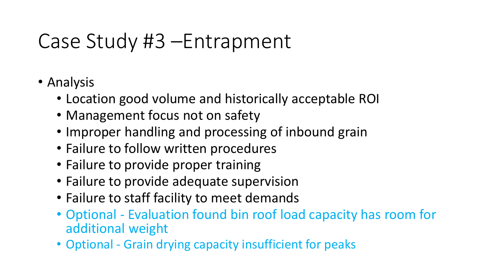## Case Study #3 –Entrapment

- Analysis
	- Location good volume and historically acceptable ROI
	- Management focus not on safety
	- Improper handling and processing of inbound grain
	- Failure to follow written procedures
	- Failure to provide proper training
	- Failure to provide adequate supervision
	- Failure to staff facility to meet demands
	- Optional Evaluation found bin roof load capacity has room for additional weight
	- Optional Grain drying capacity insufficient for peaks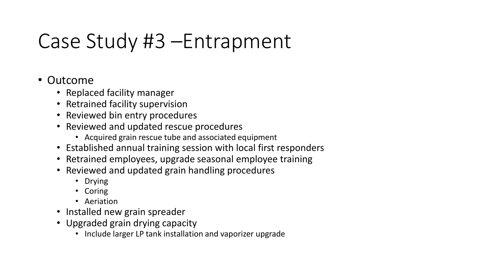## Case Study #3 –Entrapment

#### • Outcome

- Replaced facility manager
- Retrained facility supervision
- Reviewed bin entry procedures
- Reviewed and updated rescue procedures
	- Acquired grain rescue tube and associated equipment
- Established annual training session with local first responders
- Retrained employees, upgrade seasonal employee training
- Reviewed and updated grain handling procedures
	- Drying
	- Coring
	- Aeriation
- Installed new grain spreader
- Upgraded grain drying capacity
	- Include larger LP tank installation and vaporizer upgrade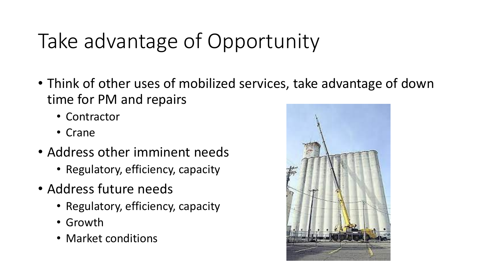## Take advantage of Opportunity

- Think of other uses of mobilized services, take advantage of down time for PM and repairs
	- Contractor
	- Crane
- Address other imminent needs
	- Regulatory, efficiency, capacity
- Address future needs
	- Regulatory, efficiency, capacity
	- Growth
	- Market conditions

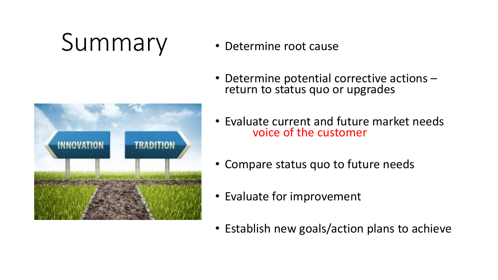# Summary • Determine root cause



- 
- Determine potential corrective actions return to status quo or upgrades
- Evaluate current and future market needs voice of the customer
- Compare status quo to future needs
- Evaluate for improvement
- Establish new goals/action plans to achieve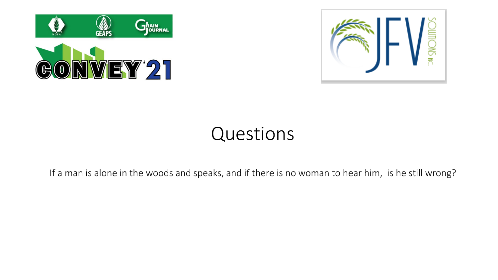



#### Questions

If a man is alone in the woods and speaks, and if there is no woman to hear him, is he still wrong?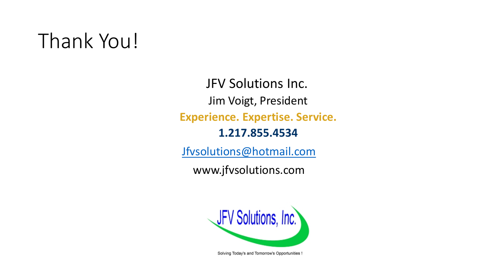#### Thank You!

JFV Solutions Inc. Jim Voigt, President **Experience. Expertise. Service. 1.217.855.4534**

[Jfvsolutions@hotmail.com](mailto:Jfvsolutions@hotmail.com)

www.jfvsolutions.com



Solving Today's and Tomorrow's Opportunities !